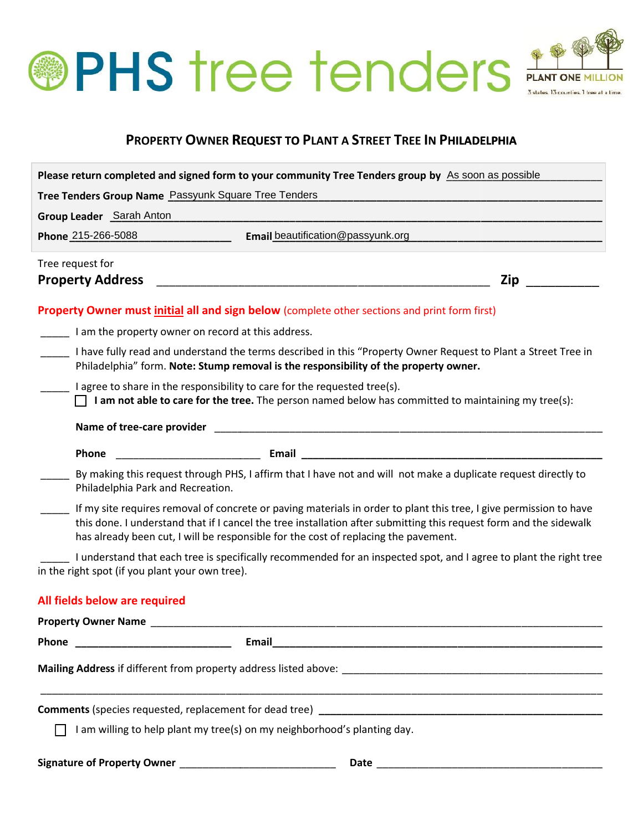# **OPHS tree tenders Allections** 3 states. 13 counties. 1 to

# **PROPERTY OWNER REQUEST TO PLANT A STREET TREE IN PHILADELPHIA TO**

|                         |                                                                                                                                                                                                        | Please return completed and signed form to your community Tree Tenders group by As soon as possible                                                                                                                                                                                                                             |  |
|-------------------------|--------------------------------------------------------------------------------------------------------------------------------------------------------------------------------------------------------|---------------------------------------------------------------------------------------------------------------------------------------------------------------------------------------------------------------------------------------------------------------------------------------------------------------------------------|--|
|                         |                                                                                                                                                                                                        | Tree Tenders Group Name Passyunk Square Tree Tenders                                                                                                                                                                                                                                                                            |  |
|                         | Group Leader Sarah Anton                                                                                                                                                                               |                                                                                                                                                                                                                                                                                                                                 |  |
|                         | Phone 215-266-5088                                                                                                                                                                                     | Email beautification@passyunk.org                                                                                                                                                                                                                                                                                               |  |
|                         | Tree request for                                                                                                                                                                                       |                                                                                                                                                                                                                                                                                                                                 |  |
| <b>Property Address</b> |                                                                                                                                                                                                        | Zip                                                                                                                                                                                                                                                                                                                             |  |
|                         |                                                                                                                                                                                                        | <b>Property Owner must initial all and sign below</b> (complete other sections and print form first)                                                                                                                                                                                                                            |  |
|                         |                                                                                                                                                                                                        | I am the property owner on record at this address.                                                                                                                                                                                                                                                                              |  |
|                         | I have fully read and understand the terms described in this "Property Owner Request to Plant a Street Tree in<br>Philadelphia" form. Note: Stump removal is the responsibility of the property owner. |                                                                                                                                                                                                                                                                                                                                 |  |
|                         | I agree to share in the responsibility to care for the requested tree(s).<br>$\Box$ I am not able to care for the tree. The person named below has committed to maintaining my tree(s):                |                                                                                                                                                                                                                                                                                                                                 |  |
|                         |                                                                                                                                                                                                        |                                                                                                                                                                                                                                                                                                                                 |  |
|                         | Phone                                                                                                                                                                                                  |                                                                                                                                                                                                                                                                                                                                 |  |
|                         | Philadelphia Park and Recreation.                                                                                                                                                                      | By making this request through PHS, I affirm that I have not and will not make a duplicate request directly to                                                                                                                                                                                                                  |  |
|                         |                                                                                                                                                                                                        | If my site requires removal of concrete or paving materials in order to plant this tree, I give permission to have<br>this done. I understand that if I cancel the tree installation after submitting this request form and the sidewalk<br>has already been cut, I will be responsible for the cost of replacing the pavement. |  |
|                         | in the right spot (if you plant your own tree).                                                                                                                                                        | I understand that each tree is specifically recommended for an inspected spot, and I agree to plant the right tree                                                                                                                                                                                                              |  |
|                         | All fields below are required                                                                                                                                                                          |                                                                                                                                                                                                                                                                                                                                 |  |
|                         |                                                                                                                                                                                                        |                                                                                                                                                                                                                                                                                                                                 |  |
| Phone                   |                                                                                                                                                                                                        | Email                                                                                                                                                                                                                                                                                                                           |  |
|                         |                                                                                                                                                                                                        |                                                                                                                                                                                                                                                                                                                                 |  |
|                         |                                                                                                                                                                                                        |                                                                                                                                                                                                                                                                                                                                 |  |
|                         |                                                                                                                                                                                                        | I am willing to help plant my tree(s) on my neighborhood's planting day.                                                                                                                                                                                                                                                        |  |
|                         |                                                                                                                                                                                                        |                                                                                                                                                                                                                                                                                                                                 |  |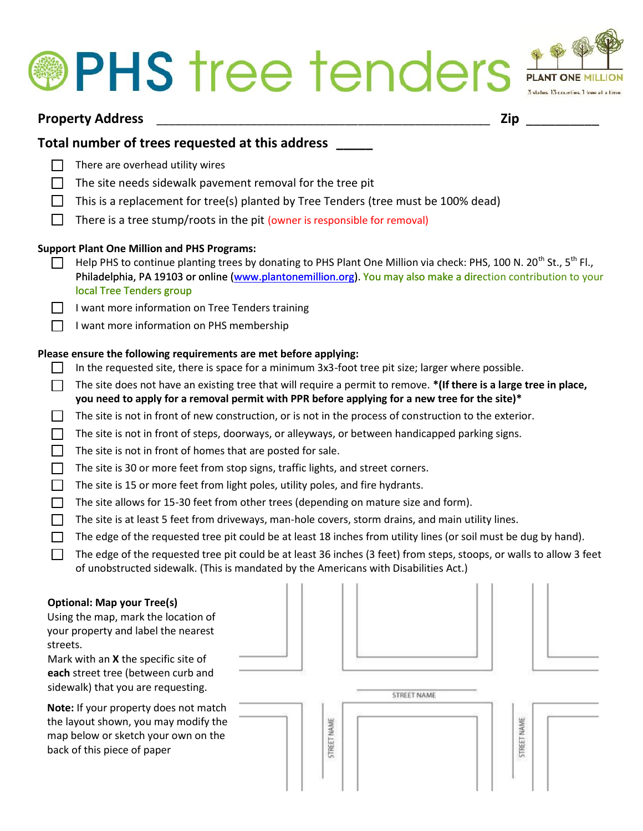# **®PHS** tree tenders



### **Property Address** *\_\_\_\_\_\_\_\_\_\_\_\_\_\_\_\_\_\_\_\_\_\_\_\_\_\_\_\_\_\_\_\_\_\_\_\_\_\_\_\_\_\_\_\_\_\_\_\_\_\_\_\_\_* **Zip** \_\_\_\_\_\_\_\_\_\_

## **Total number of trees requested at this address \_\_\_\_\_**

- $\Box$ There are overhead utility wires
- $\Box$ The site needs sidewalk pavement removal for the tree pit
- The site needs sidewalk pavement removal for the tree pit<br>This is a replacement for tree(s) planted by Tree Tenders (tree must be 100% dead)  $\Box$
- $\Box$ There is a tree stump/roots in the pit (owner is responsible for removal)

#### **Support Plant One Million and PHS Programs:**

- Help PHS to continue planting trees by donating to PHS Plant One Million via check: PHS, 100 N. 20<sup>th</sup> St., 5<sup>th</sup> Fl., Philadelphia, PA 19103 or online (www.plantonemillion.org). You may also make a direction contribution to your<br>local Tree Tenders group<br>I want more information on Tree Tenders training<br>I want more information on PHS member local Tree Tenders group:
	- I want more information on Tree Tenders training
	- I want more information on PHS membership

#### Please ensure the following requirements are met before applying:

- In the requested site, there is space for a minimum 3x3-foot tree pit size; larger where possible.
- In the requested site, there is space for a minimum 3x3-foot tree pit size; larger where possible.<br>The site does not have an existing tree that will require a permit to remove. **\*(If there is a large tree in place, you need to apply for a removal permit with PPR before applying for a new tree for the site)\* a removal**
- The site is not in front of new construction, or is not in the process of construction to the exterior.
- The site is not in front of new construction, or is not in the process of construction to the exterior.<br>The site is not in front of steps, doorways, or alleyways, or between handicapped parking signs.
- The site is not in front of homes that are posted for sale.
- The site is 30 or more feet from stop signs, traffic lights, and street corners.
- The site is 15 or more feet from light poles, utility poles, and fire hydrants.
- The site is not in front of homes that are posted for sale.<br>The site is 30 or more feet from stop signs, traffic lights, and street corners.<br>The site is 15 or more feet from light poles, utility poles, and fire hydrants.<br>T
- The site is at least 5 feet from driveways, man-hole covers, storm drains, and main utility lines.
- The edge of the requested tree pit could be at least 18 inches from utility lines (or soil must be dug by hand).
- The edge of the requested tree pit could be at least 36 inches (3 feet) from steps, stoops, or walls to allow 3 feet of unobstructed sidewalk. (This is mandated by the Americans with Disabilities Act.)

#### **Optional: Map your Tree(s)**

Using the map, mark the location of your property and label the nearest streets.

Mark with an **X** the specific site of **each** street tree (between curb and sidewalk) that you are requesting.

**Note:** If your property does not match the layout shown, you may modify the map below or sketch your own on the back of this piece of paper